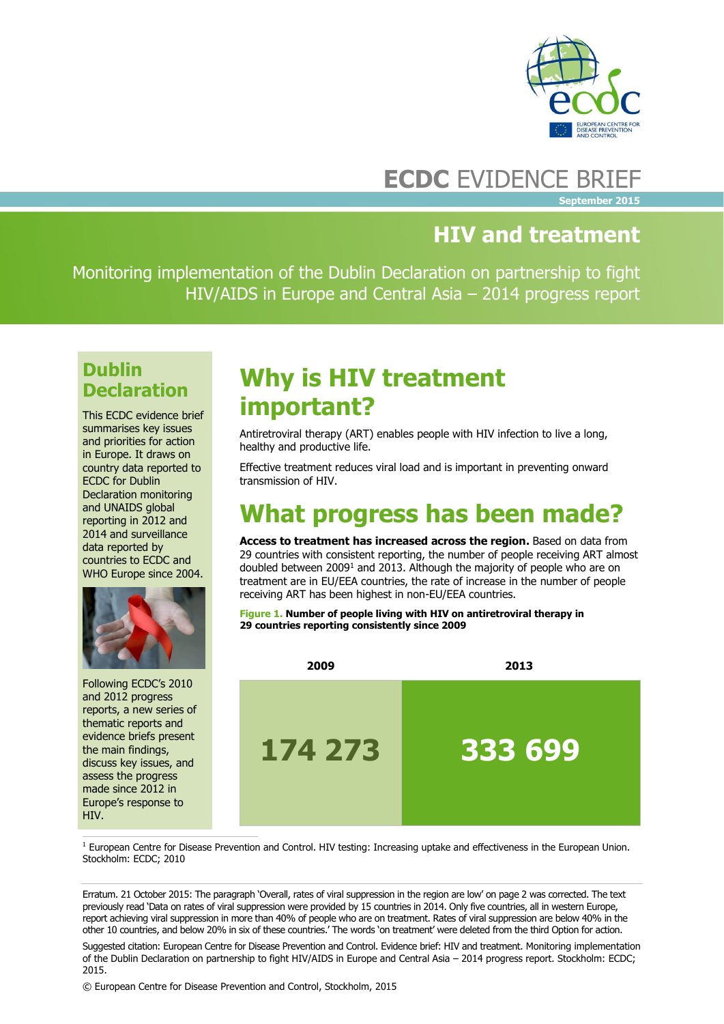

### **ECDC** EVIDENCE BRIEF

**September 2015**

### **HIV and treatment**

Monitoring implementation of the Dublin Declaration on partnership to fight HIV/AIDS in Europe and Central Asia – 2014 progress report

### **Dublin Declaration**

This ECDC evidence brief summarises key issues and priorities for action in Europe. It draws on country data reported to ECDC for Dublin Declaration monitoring and UNAIDS global reporting in 2012 and 2014 and surveillance data reported by countries to ECDC and WHO Europe since 2004.



Following ECDC's 2010 and 2012 progress reports, a new series of thematic reports and evidence briefs present the main findings, discuss key issues, and assess the progress made since 2012 in Europe's response to HIV.

# **Why is HIV treatment important?**

Antiretroviral therapy (ART) enables people with HIV infection to live a long, healthy and productive life.

Effective treatment reduces viral load and is important in preventing onward transmission of HIV.

# **What progress has been made?**

Access to treatment has increased across the region. Based on data from 29 countries with consistent reporting, the number of people receiving ART almost doubled between 2009<sup>1</sup> and 2013. Although the majority of people who are on treatment are in EU/EEA countries, the rate of increase in the number of people receiving ART has been highest in non-EU/EEA countries.

**Figure 1. Number of people living with HIV on antiretroviral therapy in 29 countries reporting consistently since 2009**



l  $1$  European Centre for Disease Prevention and Control. HIV testing: Increasing uptake and effectiveness in the European Union. Stockholm: ECDC; 2010

Erratum. 21 October 2015: The paragraph 'Overall, rates of viral suppression in the region are low' on page 2 was corrected. The text previously read 'Data on rates of viral suppression were provided by 15 countries in 2014. Only five countries, all in western Europe, report achieving viral suppression in more than 40% of people who are on treatment. Rates of viral suppression are below 40% in the other 10 countries, and below 20% in six of these countries.' The words 'on treatment' were deleted from the third Option for action.

Suggested citation: European Centre for Disease Prevention and Control. Evidence brief: HIV and treatment. Monitoring implementation of the Dublin Declaration on partnership to fight HIV/AIDS in Europe and Central Asia – 2014 progress report. Stockholm: ECDC; 2015.

© European Centre for Disease Prevention and Control, Stockholm, 2015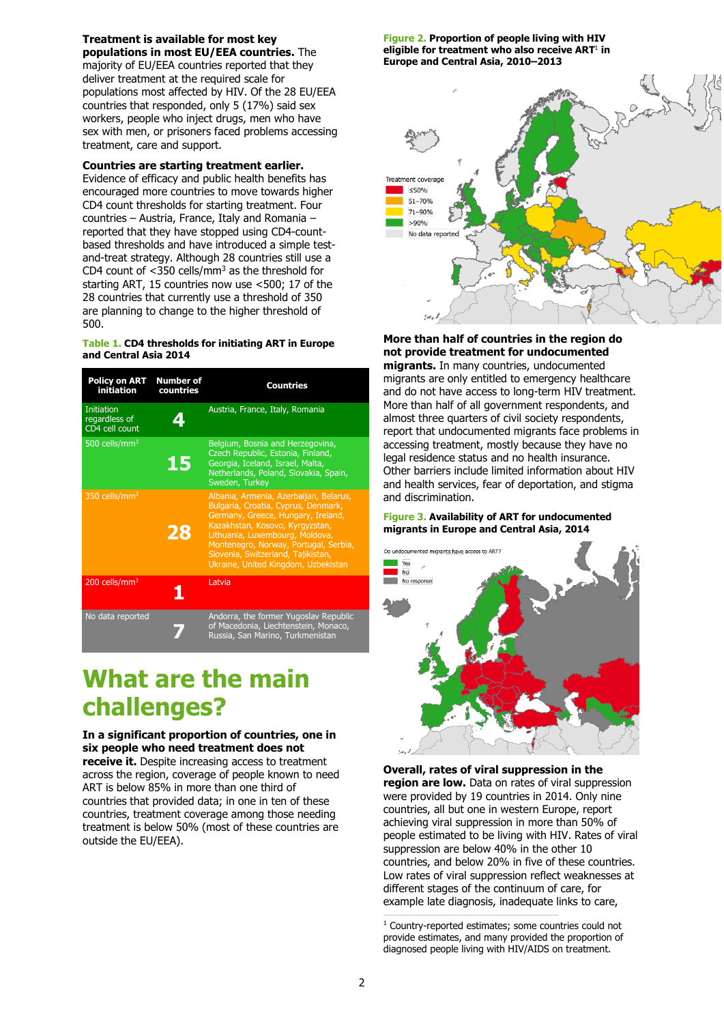**Treatment is available for most key populations in most EU/EEA countries.** The majority of EU/EEA countries reported that they deliver treatment at the required scale for populations most affected by HIV. Of the 28 EU/EEA countries that responded, only 5 (17%) said sex workers, people who inject drugs, men who have sex with men, or prisoners faced problems accessing treatment, care and support.

#### **Countries are starting treatment earlier.**

Evidence of efficacy and public health benefits has encouraged more countries to move towards higher CD4 count thresholds for starting treatment. Four countries – Austria, France, Italy and Romania – reported that they have stopped using CD4-countbased thresholds and have introduced a simple testand-treat strategy. Although 28 countries still use a CD4 count of  $<$ 350 cells/mm<sup>3</sup> as the threshold for starting ART, 15 countries now use <500; 17 of the 28 countries that currently use a threshold of 350 are planning to change to the higher threshold of 500.

#### **Table 1. CD4 thresholds for initiating ART in Europe and Central Asia 2014**

| <b>Policy on ART</b><br>initiation            | <b>Number of</b><br>countries | <b>Countries</b>                                                                                                                                                                                                                                                                                                |
|-----------------------------------------------|-------------------------------|-----------------------------------------------------------------------------------------------------------------------------------------------------------------------------------------------------------------------------------------------------------------------------------------------------------------|
| Initiation<br>regardless of<br>CD4 cell count | 4                             | Austria, France, Italy, Romania                                                                                                                                                                                                                                                                                 |
| 500 cells/ $mm3$                              | 15                            | Belgium, Bosnia and Herzegovina,<br>Czech Republic, Estonia, Finland,<br>Georgia, Iceland, Israel, Malta,<br>Netherlands, Poland, Slovakia, Spain,<br>Sweden, Turkey                                                                                                                                            |
| 350 cells/mm <sup>3</sup>                     | 28                            | Albania, Armenia, Azerbaijan, Belarus,<br>Bulgaria, Croatia, Cyprus, Denmark,<br>Germany, Greece, Hungary, Ireland,<br>Kazakhstan, Kosovo, Kyrgyzstan,<br>Lithuania, Luxembourg, Moldova,<br>Montenegro, Norway, Portugal, Serbia,<br>Slovenia, Switzerland, Tajikistan,<br>Ukraine, United Kingdom, Uzbekistan |
| 200 cells/ $mm3$                              | 1                             | Latvia                                                                                                                                                                                                                                                                                                          |
| No data reported                              |                               | Andorra, the former Yugoslav Republic<br>of Macedonia, Liechtenstein, Monaco,<br>Russia, San Marino, Turkmenistan                                                                                                                                                                                               |

## **What are the main challenges?**

**In a significant proportion of countries, one in six people who need treatment does not** 

**receive it.** Despite increasing access to treatment across the region, coverage of people known to need ART is below 85% in more than one third of countries that provided data; in one in ten of these countries, treatment coverage among those needing treatment is below 50% (most of these countries are outside the EU/EEA).

**Figure 2. Proportion of people living with HIV eligible for treatment who also receive ART**<sup>1</sup> **in Europe and Central Asia, 2010–2013**



**More than half of countries in the region do not provide treatment for undocumented migrants.** In many countries, undocumented migrants are only entitled to emergency healthcare and do not have access to long-term HIV treatment. More than half of all government respondents, and almost three quarters of civil society respondents, report that undocumented migrants face problems in accessing treatment, mostly because they have no legal residence status and no health insurance. Other barriers include limited information about HIV and health services, fear of deportation, and stigma and discrimination.

#### **Figure 3. Availability of ART for undocumented migrants in Europe and Central Asia, 2014**



**Overall, rates of viral suppression in the region are low.** Data on rates of viral suppression were provided by 19 countries in 2014. Only nine countries, all but one in western Europe, report achieving viral suppression in more than 50% of people estimated to be living with HIV. Rates of viral suppression are below 40% in the other 10 countries, and below 20% in five of these countries. Low rates of viral suppression reflect weaknesses at different stages of the continuum of care, for example late diagnosis, inadequate links to care,

<sup>1</sup> Country-reported estimates; some countries could not provide estimates, and many provided the proportion of diagnosed people living with HIV/AIDS on treatment.

j